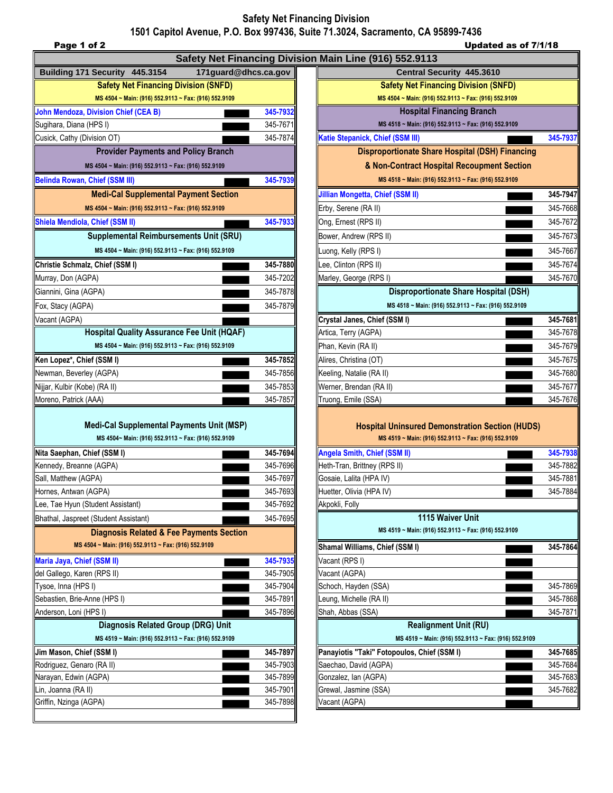## **Safety Net Financing Division 1501 Capitol Avenue, P.O. Box 997436, Suite 71.3024, Sacramento, CA 95899-7436**

| Page 1 of 2                                                                                                 |          | 1501 Capitol Avenue, P.O. Box 997436, Suite 71.3024, Sacramento, CA 95899-7436                                 | Updated as of 7/1/18 |
|-------------------------------------------------------------------------------------------------------------|----------|----------------------------------------------------------------------------------------------------------------|----------------------|
|                                                                                                             |          | Safety Net Financing Division Main Line (916) 552.9113                                                         |                      |
| Building 171 Security 445.3154<br>171 guard@dhcs.ca.gov                                                     |          | Central Security 445.3610                                                                                      |                      |
| <b>Safety Net Financing Division (SNFD)</b>                                                                 |          | <b>Safety Net Financing Division (SNFD)</b>                                                                    |                      |
| MS 4504 ~ Main: (916) 552.9113 ~ Fax: (916) 552.9109                                                        |          | MS 4504 ~ Main: (916) 552.9113 ~ Fax: (916) 552.9109                                                           |                      |
| <b>John Mendoza, Division Chief (CEA B)</b>                                                                 | 345-7932 | <b>Hospital Financing Branch</b>                                                                               |                      |
| Sugihara, Diana (HPS I)                                                                                     | 345-7671 | MS 4518 ~ Main: (916) 552.9113 ~ Fax: (916) 552.9109                                                           |                      |
| Cusick, Cathy (Division OT)                                                                                 | 345-7874 | Katie Stepanick, Chief (SSM III)                                                                               | 345-7937             |
| <b>Provider Payments and Policy Branch</b>                                                                  |          | <b>Disproportionate Share Hospital (DSH) Financing</b>                                                         |                      |
| MS 4504 ~ Main: (916) 552.9113 ~ Fax: (916) 552.9109                                                        |          | & Non-Contract Hospital Recoupment Section                                                                     |                      |
| <b>Belinda Rowan, Chief (SSM III)</b>                                                                       | 345-7939 | MS 4518 ~ Main: (916) 552.9113 ~ Fax: (916) 552.9109                                                           |                      |
| <b>Medi-Cal Supplemental Payment Section</b>                                                                |          | Jillian Mongetta, Chief (SSM II)                                                                               | 345-7947             |
| MS 4504 ~ Main: (916) 552.9113 ~ Fax: (916) 552.9109                                                        |          | Erby, Serene (RA II)                                                                                           | 345-7668             |
| Shiela Mendiola, Chief (SSM II)                                                                             | 345-7933 | Ong, Ernest (RPS II)                                                                                           | 345-7672             |
| <b>Supplemental Reimbursements Unit (SRU)</b>                                                               |          | Bower, Andrew (RPS II)                                                                                         | 345-7673             |
| MS 4504 ~ Main: (916) 552.9113 ~ Fax: (916) 552.9109                                                        |          | Luong, Kelly (RPS I)                                                                                           | 345-7667             |
| Christie Schmalz, Chief (SSM I)                                                                             | 345-7880 | Lee, Clinton (RPS II)                                                                                          | 345-7674             |
| Murray, Don (AGPA)                                                                                          | 345-7202 | Marley, George (RPS I)                                                                                         | 345-7670             |
| Giannini, Gina (AGPA)                                                                                       | 345-7878 | <b>Disproportionate Share Hospital (DSH)</b>                                                                   |                      |
| Fox, Stacy (AGPA)                                                                                           | 345-7879 | MS 4518 ~ Main: (916) 552.9113 ~ Fax: (916) 552.9109                                                           |                      |
| Vacant (AGPA)                                                                                               |          | Crystal Janes, Chief (SSM I)                                                                                   | 345-7681             |
| <b>Hospital Quality Assurance Fee Unit (HQAF)</b>                                                           |          | Artica, Terry (AGPA)                                                                                           | 345-7678             |
| MS 4504 ~ Main: (916) 552.9113 ~ Fax: (916) 552.9109                                                        |          | Phan, Kevin (RA II)                                                                                            | 345-7679             |
| Ken Lopez*, Chief (SSM I)                                                                                   | 345-7852 | Alires, Christina (OT)                                                                                         | 345-7675             |
| Newman, Beverley (AGPA)                                                                                     | 345-7856 | Keeling, Natalie (RA II)                                                                                       | 345-7680             |
| Nijjar, Kulbir (Kobe) (RA II)                                                                               | 345-7853 | Werner, Brendan (RA II)                                                                                        | 345-7677             |
| Moreno, Patrick (AAA)                                                                                       | 345-7857 | Truong, Emile (SSA)                                                                                            | 345-7676             |
| <b>Medi-Cal Supplemental Payments Unit (MSP)</b><br>MS 4504~ Main: (916) 552.9113 ~ Fax: (916) 552.9109     |          | <b>Hospital Uninsured Demonstration Section (HUDS)</b><br>MS 4519 ~ Main: (916) 552.9113 ~ Fax: (916) 552.9109 |                      |
| Nita Saephan, Chief (SSM I)                                                                                 | 345-7694 | <b>Angela Smith, Chief (SSM II)</b>                                                                            | 345-7938             |
| Kennedy, Breanne (AGPA)                                                                                     | 345-7696 | Heth-Tran, Brittney (RPS II)                                                                                   | 345-7882             |
| Sall, Matthew (AGPA)                                                                                        | 345-7697 | Gosaie, Lalita (HPA IV)                                                                                        | 345-7881             |
| Hornes, Antwan (AGPA)                                                                                       | 345-7693 | Huetter, Olivia (HPA IV)                                                                                       | 345-7884             |
| Lee, Tae Hyun (Student Assistant)                                                                           | 345-7692 | Akpokli, Folly                                                                                                 |                      |
| Bhathal, Jaspreet (Student Assistant)                                                                       | 345-7695 | 1115 Waiver Unit                                                                                               |                      |
| <b>Diagnosis Related &amp; Fee Payments Section</b><br>MS 4504 ~ Main: (916) 552.9113 ~ Fax: (916) 552.9109 |          | MS 4519 ~ Main: (916) 552.9113 ~ Fax: (916) 552.9109<br>Shamal Williams, Chief (SSM I)                         | 345-7864             |
| Maria Jaya, Chief (SSM II)                                                                                  | 345-7935 | Vacant (RPS I)                                                                                                 |                      |
| del Gallego, Karen (RPS II)                                                                                 | 345-7905 | Vacant (AGPA)                                                                                                  |                      |
| Гуѕое, Inna (HPS I)                                                                                         | 345-7904 | Schoch, Hayden (SSA)                                                                                           | 345-7869             |
| Sebastien, Brie-Anne (HPS I)                                                                                | 345-7891 | Leung, Michelle (RA II)                                                                                        | 345-7868             |
| Anderson, Loni (HPS I)                                                                                      | 345-7896 | Shah, Abbas (SSA)                                                                                              | 345-7871             |
| Diagnosis Related Group (DRG) Unit                                                                          |          | <b>Realignment Unit (RU)</b>                                                                                   |                      |
| MS 4519 ~ Main: (916) 552.9113 ~ Fax: (916) 552.9109                                                        |          | MS 4519 ~ Main: (916) 552.9113 ~ Fax: (916) 552.9109                                                           |                      |
| Jim Mason, Chief (SSM I)                                                                                    | 345-7897 | Panayiotis "Taki" Fotopoulos, Chief (SSM I)                                                                    | 345-7685             |
| Rodriguez, Genaro (RA II)                                                                                   | 345-7903 | Saechao, David (AGPA)                                                                                          | 345-7684             |
| Narayan, Edwin (AGPA)                                                                                       | 345-7899 | Gonzalez, Ian (AGPA)                                                                                           | 345-7683             |
| Lin, Joanna (RA II)                                                                                         | 345-7901 | Grewal, Jasmine (SSA)                                                                                          | 345-7682             |
| Griffin, Nzinga (AGPA)                                                                                      | 345-7898 | Vacant (AGPA)                                                                                                  |                      |

| MS 4504 ~ Main: (916) 552.9113 ~ Fax: (916) 552.9109<br><b>Hospital Financing Branch</b>                    |                      |  |  |
|-------------------------------------------------------------------------------------------------------------|----------------------|--|--|
| MS 4518 ~ Main: (916) 552.9113 ~ Fax: (916) 552.9109                                                        |                      |  |  |
| Katie Stepanick, Chief (SSM III)                                                                            | 345-7937             |  |  |
| <b>Disproportionate Share Hospital (DSH) Financing</b>                                                      |                      |  |  |
| & Non-Contract Hospital Recoupment Section                                                                  |                      |  |  |
| MS 4518 ~ Main: (916) 552.9113 ~ Fax: (916) 552.9109                                                        |                      |  |  |
| Jillian Mongetta, Chief (SSM II)                                                                            | 345-7947             |  |  |
| Erby, Serene (RA II)                                                                                        | 345-7668             |  |  |
| Ong, Ernest (RPS II)                                                                                        | 345-7672             |  |  |
| Bower, Andrew (RPS II)                                                                                      | 345-7673             |  |  |
| Luong, Kelly (RPS I)                                                                                        | 345-7667             |  |  |
| Lee, Clinton (RPS II)                                                                                       | 345-7674             |  |  |
| Marley, George (RPS I)                                                                                      | 345-7670             |  |  |
| <b>Disproportionate Share Hospital (DSH)</b>                                                                |                      |  |  |
| MS 4518 ~ Main: (916) 552.9113 ~ Fax: (916) 552.9109                                                        |                      |  |  |
| Crystal Janes, Chief (SSM I)                                                                                | 345-7681             |  |  |
| Artica, Terry (AGPA)                                                                                        | 345-7678             |  |  |
| Phan, Kevin (RA II)                                                                                         | 345-7679             |  |  |
| Alires, Christina (OT)                                                                                      | 345-7675             |  |  |
| Keeling, Natalie (RA II)                                                                                    | 345-7680             |  |  |
| Werner, Brendan (RA II)                                                                                     | 345-7677             |  |  |
| Truong, Emile (SSA)                                                                                         | 345-7676             |  |  |
|                                                                                                             |                      |  |  |
| <b>Hospital Uninsured Demonstration Section (HUDS)</b>                                                      |                      |  |  |
| MS 4519 ~ Main: (916) 552.9113 ~ Fax: (916) 552.9109                                                        |                      |  |  |
| <b>Angela Smith, Chief (SSM II)</b>                                                                         |                      |  |  |
|                                                                                                             | 345-7938             |  |  |
|                                                                                                             | 345-7882             |  |  |
|                                                                                                             | 345-7881             |  |  |
| Heth-Tran, Brittney (RPS II)<br>Gosaie, Lalita (HPA IV)<br>Huetter, Olivia (HPA IV)                         | 345-7884             |  |  |
|                                                                                                             |                      |  |  |
| 1115 Waiver Unit<br>MS 4519 ~ Main: (916) 552.9113 ~ Fax: (916) 552.9109                                    |                      |  |  |
|                                                                                                             | 345-7864             |  |  |
|                                                                                                             |                      |  |  |
|                                                                                                             |                      |  |  |
| Akpokli, Folly<br>Shamal Williams, Chief (SSM I)<br>Vacant (RPS I)<br>Vacant (AGPA)<br>Schoch, Hayden (SSA) | 345-7869             |  |  |
|                                                                                                             | 345-7868             |  |  |
|                                                                                                             | 345-7871             |  |  |
| <b>Realignment Unit (RU)</b>                                                                                |                      |  |  |
| Leung, Michelle (RA II)<br>Shah, Abbas (SSA)<br>MS 4519 ~ Main: (916) 552.9113 ~ Fax: (916) 552.9109        |                      |  |  |
| Panayiotis "Taki" Fotopoulos, Chief (SSM I)                                                                 | 345-7685             |  |  |
| Saechao, David (AGPA)                                                                                       | 345-7684             |  |  |
| Gonzalez, Ian (AGPA)<br>Grewal, Jasmine (SSA)                                                               | 345-7683<br>345-7682 |  |  |